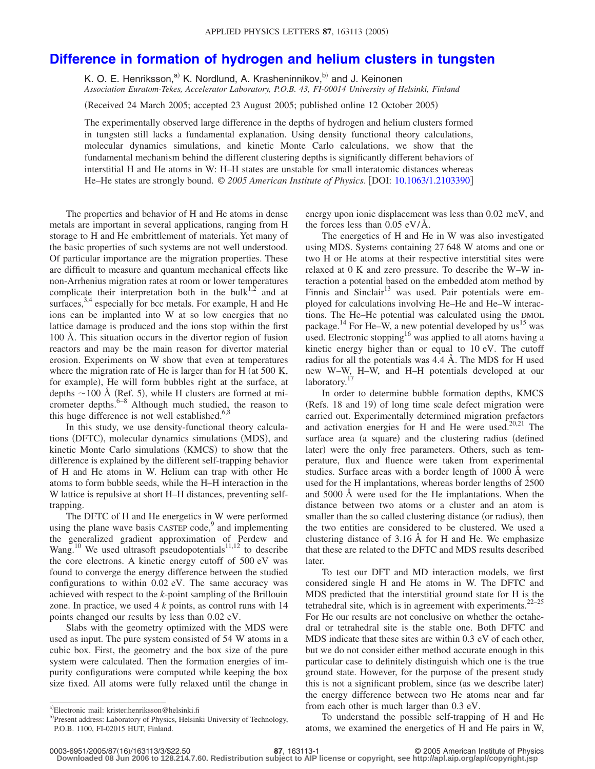## **[Difference in formation of hydrogen and helium clusters in tungsten](http://dx.doi.org/10.1063/1.2103390)**

K. O. E. Henriksson,<sup>a)</sup> K. Nordlund, A. Krasheninnikov,<sup>b)</sup> and J. Keinonen *Association Euratom-Tekes, Accelerator Laboratory, P.O.B. 43, FI-00014 University of Helsinki, Finland*

(Received 24 March 2005; accepted 23 August 2005; published online 12 October 2005)

The experimentally observed large difference in the depths of hydrogen and helium clusters formed in tungsten still lacks a fundamental explanation. Using density functional theory calculations, molecular dynamics simulations, and kinetic Monte Carlo calculations, we show that the fundamental mechanism behind the different clustering depths is significantly different behaviors of interstitial H and He atoms in W: H–H states are unstable for small interatomic distances whereas He–He states are strongly bound. © *2005 American Institute of Physics*. DOI: [10.1063/1.2103390](http://dx.doi.org/10.1063/1.2103390)

The properties and behavior of H and He atoms in dense metals are important in several applications, ranging from H storage to H and He embrittlement of materials. Yet many of the basic properties of such systems are not well understood. Of particular importance are the migration properties. These are difficult to measure and quantum mechanical effects like non-Arrhenius migration rates at room or lower temperatures complicate their interpretation both in the bulk $1,2$  and at surfaces,  $3,4$  especially for bcc metals. For example, H and He ions can be implanted into W at so low energies that no lattice damage is produced and the ions stop within the first 100 Å. This situation occurs in the divertor region of fusion reactors and may be the main reason for divertor material erosion. Experiments on W show that even at temperatures where the migration rate of He is larger than for H (at 500 K, for example), He will form bubbles right at the surface, at depths  $\sim$  100 Å (Ref. 5), while H clusters are formed at micrometer depths. $6-8$  Although much studied, the reason to this huge difference is not well established. $6,8$ 

In this study, we use density-functional theory calculations (DFTC), molecular dynamics simulations (MDS), and kinetic Monte Carlo simulations (KMCS) to show that the difference is explained by the different self-trapping behavior of H and He atoms in W. Helium can trap with other He atoms to form bubble seeds, while the H–H interaction in the W lattice is repulsive at short H–H distances, preventing selftrapping.

The DFTC of H and He energetics in W were performed using the plane wave basis  $CASTEP code<sub>1</sub><sup>9</sup>$  and implementing the generalized gradient approximation of Perdew and Wang.<sup>10</sup> We used ultrasoft pseudopotentials<sup>11,12</sup> to describe the core electrons. A kinetic energy cutoff of 500 eV was found to converge the energy difference between the studied configurations to within 0.02 eV. The same accuracy was achieved with respect to the *k*-point sampling of the Brillouin zone. In practice, we used 4 *k* points, as control runs with 14 points changed our results by less than 0.02 eV.

Slabs with the geometry optimized with the MDS were used as input. The pure system consisted of 54 W atoms in a cubic box. First, the geometry and the box size of the pure system were calculated. Then the formation energies of impurity configurations were computed while keeping the box size fixed. All atoms were fully relaxed until the change in

energy upon ionic displacement was less than 0.02 meV, and the forces less than  $0.05 \text{ eV/A}$ .

The energetics of H and He in W was also investigated using MDS. Systems containing 27 648 W atoms and one or two H or He atoms at their respective interstitial sites were relaxed at 0 K and zero pressure. To describe the W–W interaction a potential based on the embedded atom method by Finnis and Sinclair<sup>13</sup> was used. Pair potentials were employed for calculations involving He–He and He–W interactions. The He–He potential was calculated using the DMOL package.<sup>14</sup> For He–W, a new potential developed by us<sup>15</sup> was used. Electronic stopping<sup>16</sup> was applied to all atoms having a kinetic energy higher than or equal to 10 eV. The cutoff radius for all the potentials was 4.4 Å. The MDS for H used new W–W, H–W, and H–H potentials developed at our laboratory.<sup>17</sup>

In order to determine bubble formation depths, KMCS (Refs. 18 and 19) of long time scale defect migration were carried out. Experimentally determined migration prefactors and activation energies for H and He were used.<sup>20,21</sup> The surface area (a square) and the clustering radius (defined later) were the only free parameters. Others, such as temperature, flux and fluence were taken from experimental studies. Surface areas with a border length of 1000 Å were used for the H implantations, whereas border lengths of 2500 and 5000 Å were used for the He implantations. When the distance between two atoms or a cluster and an atom is smaller than the so called clustering distance (or radius), then the two entities are considered to be clustered. We used a clustering distance of 3.16 Å for H and He. We emphasize that these are related to the DFTC and MDS results described later.

To test our DFT and MD interaction models, we first considered single H and He atoms in W. The DFTC and MDS predicted that the interstitial ground state for H is the tetrahedral site, which is in agreement with experiments.  $22-25$ For He our results are not conclusive on whether the octahedral or tetrahedral site is the stable one. Both DFTC and MDS indicate that these sites are within 0.3 eV of each other, but we do not consider either method accurate enough in this particular case to definitely distinguish which one is the true ground state. However, for the purpose of the present study this is not a significant problem, since (as we describe later) the energy difference between two He atoms near and far from each other is much larger than 0.3 eV.

To understand the possible self-trapping of H and He atoms, we examined the energetics of H and He pairs in W,

**Downloaded 08 Jun 2006 to 128.214.7.60. Redistribution subject to AIP license or copyright, see http://apl.aip.org/apl/copyright.jsp**

a)Electronic mail: krister.henriksson@helsinki.fi

<sup>&</sup>lt;sup>b)</sup>Present address: Laboratory of Physics, Helsinki University of Technology, P.O.B. 1100, FI-02015 HUT, Finland.

**<sup>87</sup>**, 163113-1 © 2005 American Institute of Physics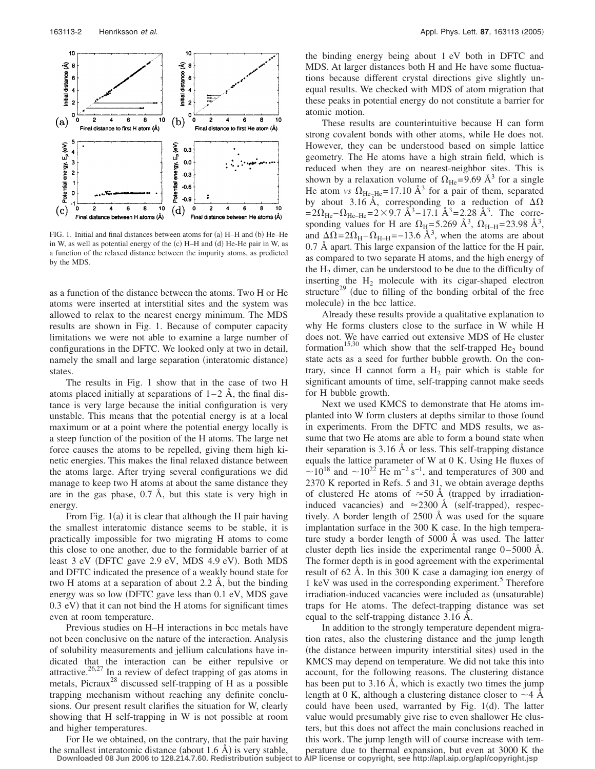

FIG. 1. Initial and final distances between atoms for (a) H-H and (b) He-He in W, as well as potential energy of the (c) H-H and (d) He-He pair in W, as a function of the relaxed distance between the impurity atoms, as predicted by the MDS.

as a function of the distance between the atoms. Two H or He atoms were inserted at interstitial sites and the system was allowed to relax to the nearest energy minimum. The MDS results are shown in Fig. 1. Because of computer capacity limitations we were not able to examine a large number of configurations in the DFTC. We looked only at two in detail, namely the small and large separation (interatomic distance) states.

The results in Fig. 1 show that in the case of two H atoms placed initially at separations of  $1-2$  Å, the final distance is very large because the initial configuration is very unstable. This means that the potential energy is at a local maximum or at a point where the potential energy locally is a steep function of the position of the H atoms. The large net force causes the atoms to be repelled, giving them high kinetic energies. This makes the final relaxed distance between the atoms large. After trying several configurations we did manage to keep two H atoms at about the same distance they are in the gas phase, 0.7 Å, but this state is very high in energy.

From Fig. 1(a) it is clear that although the H pair having the smallest interatomic distance seems to be stable, it is practically impossible for two migrating H atoms to come this close to one another, due to the formidable barrier of at least 3 eV (DFTC gave 2.9 eV, MDS 4.9 eV). Both MDS and DFTC indicated the presence of a weakly bound state for two H atoms at a separation of about 2.2 Å, but the binding energy was so low DFTC gave less than 0.1 eV, MDS gave 0.3 eV) that it can not bind the H atoms for significant times even at room temperature.

Previous studies on H–H interactions in bcc metals have not been conclusive on the nature of the interaction. Analysis of solubility measurements and jellium calculations have indicated that the interaction can be either repulsive or attractive.<sup>26,27</sup> In a review of defect trapping of gas atoms in metals, Picraux<sup>28</sup> discussed self-trapping of H as a possible trapping mechanism without reaching any definite conclusions. Our present result clarifies the situation for W, clearly showing that H self-trapping in W is not possible at room and higher temperatures.

For He we obtained, on the contrary, that the pair having the smallest interatomic distance (about 1.6  $\AA$ ) is very stable,

the binding energy being about 1 eV both in DFTC and MDS. At larger distances both H and He have some fluctuations because different crystal directions give slightly unequal results. We checked with MDS of atom migration that these peaks in potential energy do not constitute a barrier for atomic motion.

These results are counterintuitive because H can form strong covalent bonds with other atoms, while He does not. However, they can be understood based on simple lattice geometry. The He atoms have a high strain field, which is reduced when they are on nearest-neighbor sites. This is shown by a relaxation volume of  $\Omega_{\text{He}} = 9.69 \text{ Å}^3$  for a single He atom *vs*  $\Omega_{\text{He-He}}$ = 17.10 Å<sup>3</sup> for a pair of them, separated by about 3.16 Å, corresponding to a reduction of  $\Delta\Omega$  $= 2\Omega_{\text{He}} - \Omega_{\text{He}-\text{He}} = 2 \times 9.7 \text{ Å}^3 - 17.1 \text{ Å}^3 = 2.28 \text{ Å}^3$ . The corresponding values for H are  $\Omega_H = 5.269 \text{ Å}^3$ ,  $\Omega_{H-H} = 23.98 \text{ Å}^3$ , and  $\Delta \Omega = 2\Omega_H - \Omega_{H-H} = -13.6 \text{ Å}^3$ , when the atoms are about 0.7 Å apart. This large expansion of the lattice for the H pair, as compared to two separate H atoms, and the high energy of the  $H<sub>2</sub>$  dimer, can be understood to be due to the difficulty of inserting the  $H_2$  molecule with its cigar-shaped electron structure<sup>29</sup> (due to filling of the bonding orbital of the free molecule) in the bcc lattice.

Already these results provide a qualitative explanation to why He forms clusters close to the surface in W while H does not. We have carried out extensive MDS of He cluster formation<sup>15,30</sup> which show that the self-trapped He<sub>2</sub> bound state acts as a seed for further bubble growth. On the contrary, since H cannot form a  $H_2$  pair which is stable for significant amounts of time, self-trapping cannot make seeds for H bubble growth.

Next we used KMCS to demonstrate that He atoms implanted into W form clusters at depths similar to those found in experiments. From the DFTC and MDS results, we assume that two He atoms are able to form a bound state when their separation is 3.16 Å or less. This self-trapping distance equals the lattice parameter of W at 0 K. Using He fluxes of  $\sim$ 10<sup>18</sup> and  $\sim$ 10<sup>22</sup> He m<sup>-2</sup> s<sup>-1</sup>, and temperatures of 300 and 2370 K reported in Refs. 5 and 31, we obtain average depths of clustered He atoms of  $\approx 50$  Å (trapped by irradiationinduced vacancies) and  $\approx$  2300 Å (self-trapped), respectively. A border length of 2500 Å was used for the square implantation surface in the 300 K case. In the high temperature study a border length of 5000 Å was used. The latter cluster depth lies inside the experimental range  $0-5000$  Å. The former depth is in good agreement with the experimental result of 62 Å. In this 300 K case a damaging ion energy of 1 keV was used in the corresponding experiment.<sup>5</sup> Therefore irradiation-induced vacancies were included as (unsaturable) traps for He atoms. The defect-trapping distance was set equal to the self-trapping distance 3.16 Å.

In addition to the strongly temperature dependent migration rates, also the clustering distance and the jump length (the distance between impurity interstitial sites) used in the KMCS may depend on temperature. We did not take this into account, for the following reasons. The clustering distance has been put to 3.16 Å, which is exactly two times the jump length at 0 K, although a clustering distance closer to  $\sim$ 4 Å could have been used, warranted by Fig. 1(d). The latter value would presumably give rise to even shallower He clusters, but this does not affect the main conclusions reached in this work. The jump length will of course increase with temperature due to thermal expansion, but even at 3000 K the **Downloaded 08 Jun 2006 to 128.214.7.60. Redistribution subject to AIP license or copyright, see http://apl.aip.org/apl/copyright.jsp**